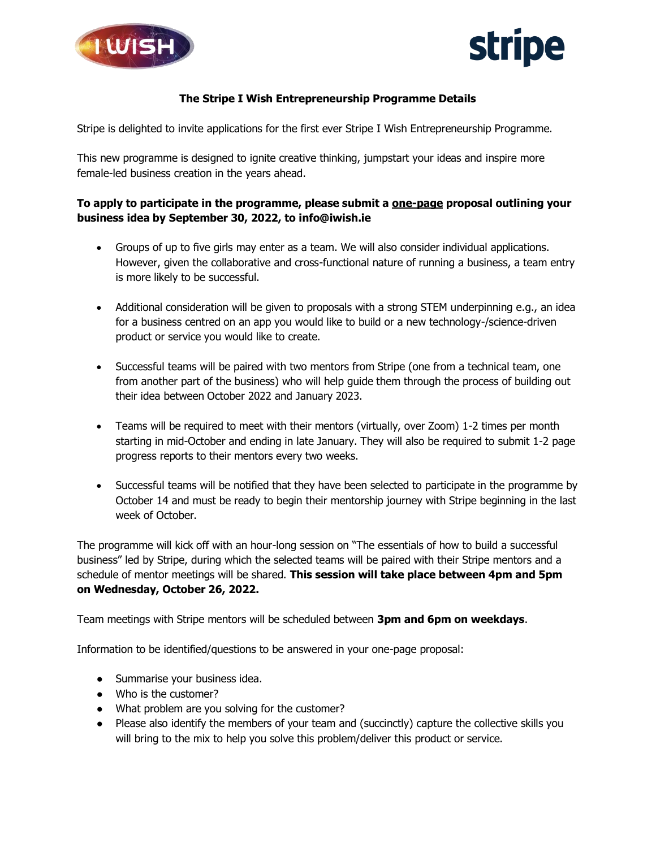



## **The Stripe I Wish Entrepreneurship Programme Details**

Stripe is delighted to invite applications for the first ever Stripe I Wish Entrepreneurship Programme.

This new programme is designed to ignite creative thinking, jumpstart your ideas and inspire more female-led business creation in the years ahead.

## **To apply to participate in the programme, please submit a one-page proposal outlining your business idea by September 30, 2022, to info@iwish.ie**

- Groups of up to five girls may enter as a team. We will also consider individual applications. However, given the collaborative and cross-functional nature of running a business, a team entry is more likely to be successful.
- Additional consideration will be given to proposals with a strong STEM underpinning e.g., an idea for a business centred on an app you would like to build or a new technology-/science-driven product or service you would like to create.
- Successful teams will be paired with two mentors from Stripe (one from a technical team, one from another part of the business) who will help guide them through the process of building out their idea between October 2022 and January 2023.
- Teams will be required to meet with their mentors (virtually, over Zoom) 1-2 times per month starting in mid-October and ending in late January. They will also be required to submit 1-2 page progress reports to their mentors every two weeks.
- Successful teams will be notified that they have been selected to participate in the programme by October 14 and must be ready to begin their mentorship journey with Stripe beginning in the last week of October.

The programme will kick off with an hour-long session on "The essentials of how to build a successful business" led by Stripe, during which the selected teams will be paired with their Stripe mentors and a schedule of mentor meetings will be shared. **This session will take place between 4pm and 5pm on Wednesday, October 26, 2022.** 

Team meetings with Stripe mentors will be scheduled between **3pm and 6pm on weekdays**.

Information to be identified/questions to be answered in your one-page proposal:

- Summarise your business idea.
- Who is the customer?
- What problem are you solving for the customer?
- Please also identify the members of your team and (succinctly) capture the collective skills you will bring to the mix to help you solve this problem/deliver this product or service.